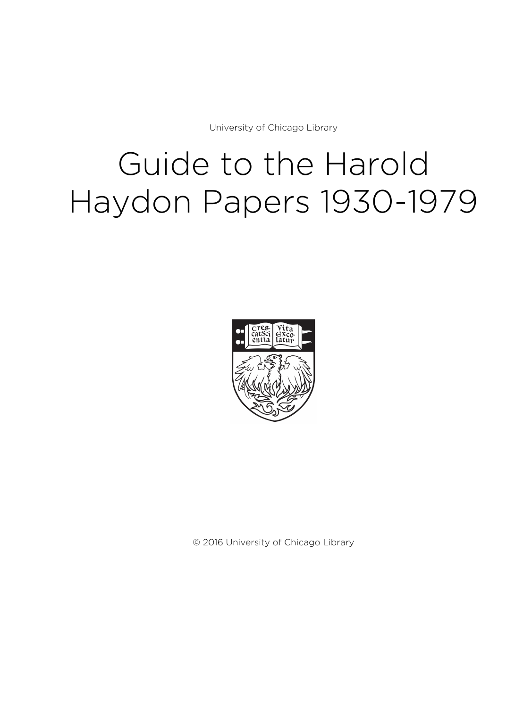University of Chicago Library

# Guide to the Harold Haydon Papers 1930-1979



© 2016 University of Chicago Library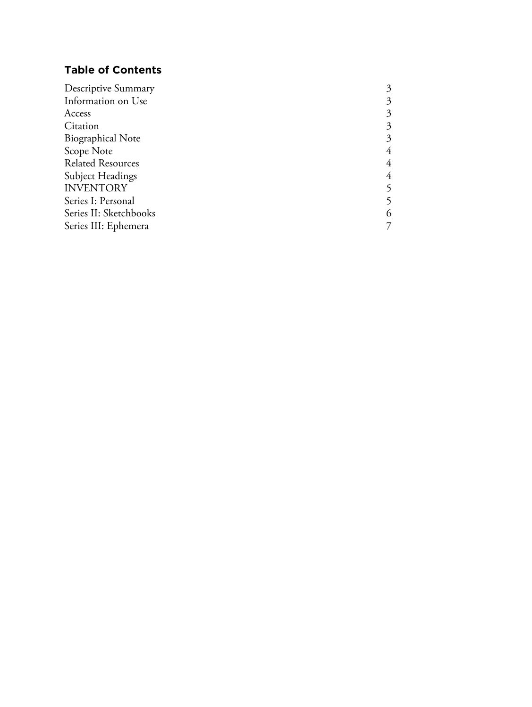# **Table of Contents**

| Descriptive Summary      |  |
|--------------------------|--|
| Information on Use       |  |
| Access                   |  |
| Citation                 |  |
| <b>Biographical Note</b> |  |
| Scope Note               |  |
| <b>Related Resources</b> |  |
| <b>Subject Headings</b>  |  |
| <b>INVENTORY</b>         |  |
| Series I: Personal       |  |
| Series II: Sketchbooks   |  |
| Series III: Ephemera     |  |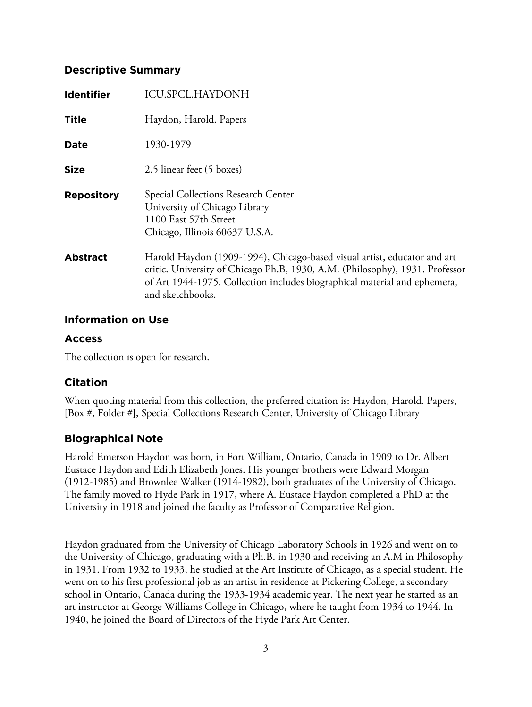### **Descriptive Summary**

| <b>Identifier</b> | <b>ICU.SPCL.HAYDONH</b>                                                                                                                                                                                                                                   |
|-------------------|-----------------------------------------------------------------------------------------------------------------------------------------------------------------------------------------------------------------------------------------------------------|
| <b>Title</b>      | Haydon, Harold. Papers                                                                                                                                                                                                                                    |
| <b>Date</b>       | 1930-1979                                                                                                                                                                                                                                                 |
| <b>Size</b>       | 2.5 linear feet (5 boxes)                                                                                                                                                                                                                                 |
| <b>Repository</b> | Special Collections Research Center<br>University of Chicago Library<br>1100 East 57th Street<br>Chicago, Illinois 60637 U.S.A.                                                                                                                           |
| <b>Abstract</b>   | Harold Haydon (1909-1994), Chicago-based visual artist, educator and art<br>critic. University of Chicago Ph.B, 1930, A.M. (Philosophy), 1931. Professor<br>of Art 1944-1975. Collection includes biographical material and ephemera,<br>and sketchbooks. |

#### **Information on Use**

### **Access**

The collection is open for research.

# **Citation**

When quoting material from this collection, the preferred citation is: Haydon, Harold. Papers, [Box #, Folder #], Special Collections Research Center, University of Chicago Library

# **Biographical Note**

Harold Emerson Haydon was born, in Fort William, Ontario, Canada in 1909 to Dr. Albert Eustace Haydon and Edith Elizabeth Jones. His younger brothers were Edward Morgan (1912-1985) and Brownlee Walker (1914-1982), both graduates of the University of Chicago. The family moved to Hyde Park in 1917, where A. Eustace Haydon completed a PhD at the University in 1918 and joined the faculty as Professor of Comparative Religion.

Haydon graduated from the University of Chicago Laboratory Schools in 1926 and went on to the University of Chicago, graduating with a Ph.B. in 1930 and receiving an A.M in Philosophy in 1931. From 1932 to 1933, he studied at the Art Institute of Chicago, as a special student. He went on to his first professional job as an artist in residence at Pickering College, a secondary school in Ontario, Canada during the 1933-1934 academic year. The next year he started as an art instructor at George Williams College in Chicago, where he taught from 1934 to 1944. In 1940, he joined the Board of Directors of the Hyde Park Art Center.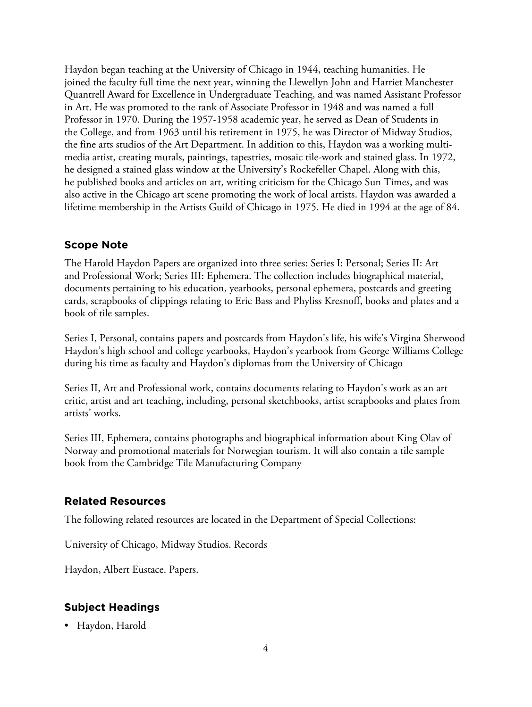Haydon began teaching at the University of Chicago in 1944, teaching humanities. He joined the faculty full time the next year, winning the Llewellyn John and Harriet Manchester Quantrell Award for Excellence in Undergraduate Teaching, and was named Assistant Professor in Art. He was promoted to the rank of Associate Professor in 1948 and was named a full Professor in 1970. During the 1957-1958 academic year, he served as Dean of Students in the College, and from 1963 until his retirement in 1975, he was Director of Midway Studios, the fine arts studios of the Art Department. In addition to this, Haydon was a working multimedia artist, creating murals, paintings, tapestries, mosaic tile-work and stained glass. In 1972, he designed a stained glass window at the University's Rockefeller Chapel. Along with this, he published books and articles on art, writing criticism for the Chicago Sun Times, and was also active in the Chicago art scene promoting the work of local artists. Haydon was awarded a lifetime membership in the Artists Guild of Chicago in 1975. He died in 1994 at the age of 84.

# **Scope Note**

The Harold Haydon Papers are organized into three series: Series I: Personal; Series II: Art and Professional Work; Series III: Ephemera. The collection includes biographical material, documents pertaining to his education, yearbooks, personal ephemera, postcards and greeting cards, scrapbooks of clippings relating to Eric Bass and Phyliss Kresnoff, books and plates and a book of tile samples.

Series I, Personal, contains papers and postcards from Haydon's life, his wife's Virgina Sherwood Haydon's high school and college yearbooks, Haydon's yearbook from George Williams College during his time as faculty and Haydon's diplomas from the University of Chicago

Series II, Art and Professional work, contains documents relating to Haydon's work as an art critic, artist and art teaching, including, personal sketchbooks, artist scrapbooks and plates from artists' works.

Series III, Ephemera, contains photographs and biographical information about King Olav of Norway and promotional materials for Norwegian tourism. It will also contain a tile sample book from the Cambridge Tile Manufacturing Company

### **Related Resources**

The following related resources are located in the Department of Special Collections:

University of Chicago, Midway Studios. Records

Haydon, Albert Eustace. Papers.

# **Subject Headings**

• Haydon, Harold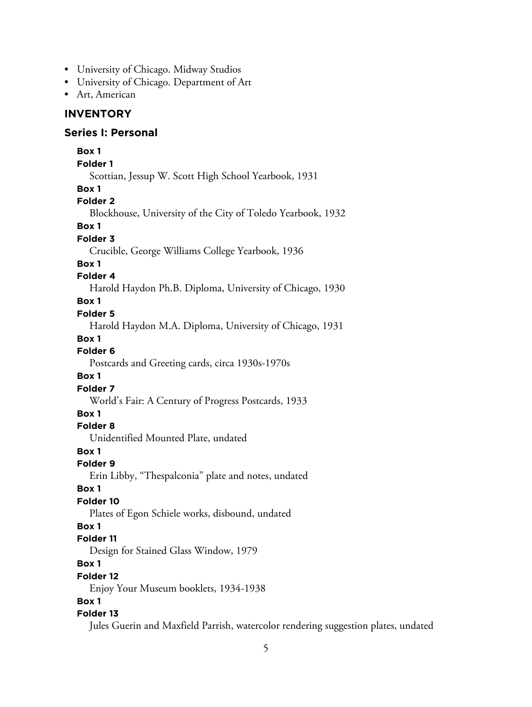- University of Chicago. Midway Studios
- University of Chicago. Department of Art
- Art, American

#### **INVENTORY**

#### **Series I: Personal**

**Box 1 Folder 1** Scottian, Jessup W. Scott High School Yearbook, 1931 **Box 1 Folder 2** Blockhouse, University of the City of Toledo Yearbook, 1932 **Box 1 Folder 3** Crucible, George Williams College Yearbook, 1936 **Box 1 Folder 4** Harold Haydon Ph.B. Diploma, University of Chicago, 1930 **Box 1 Folder 5** Harold Haydon M.A. Diploma, University of Chicago, 1931 **Box 1 Folder 6** Postcards and Greeting cards, circa 1930s-1970s **Box 1 Folder 7** World's Fair: A Century of Progress Postcards, 1933 **Box 1 Folder 8** Unidentified Mounted Plate, undated **Box 1 Folder 9** Erin Libby, "Thespalconia" plate and notes, undated **Box 1 Folder 10** Plates of Egon Schiele works, disbound, undated **Box 1 Folder 11** Design for Stained Glass Window, 1979 **Box 1 Folder 12** Enjoy Your Museum booklets, 1934-1938 **Box 1 Folder 13** Jules Guerin and Maxfield Parrish, watercolor rendering suggestion plates, undated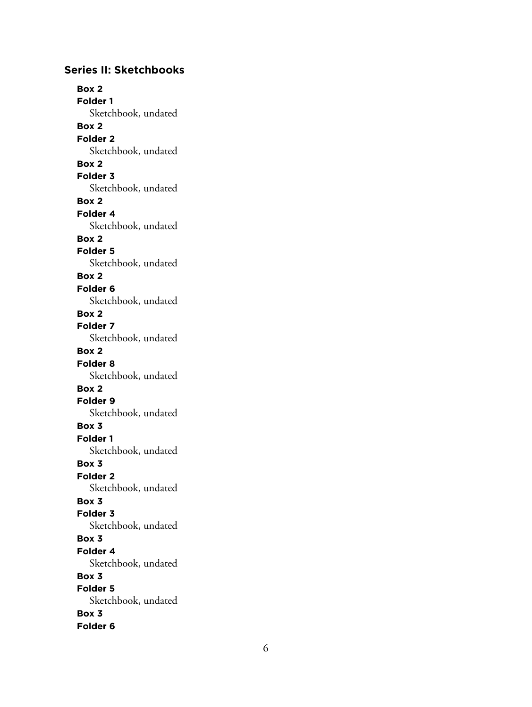## **Series II: Sketchbooks**

**Box 2 Folder 1** Sketchbook, undated **Box 2 Folder 2** Sketchbook, undated **Box 2 Folder 3** Sketchbook, undated **Box 2 Folder 4** Sketchbook, undated **Box 2 Folder 5** Sketchbook, undated **Box 2 Folder 6** Sketchbook, undated **Box 2 Folder 7** Sketchbook, undated **Box 2 Folder 8** Sketchbook, undated **Box 2 Folder 9** Sketchbook, undated **Box 3 Folder 1** Sketchbook, undated **Box 3 Folder 2** Sketchbook, undated **Box 3 Folder 3** Sketchbook, undated **Box 3 Folder 4** Sketchbook, undated **Box 3 Folder 5** Sketchbook, undated **Box 3 Folder 6**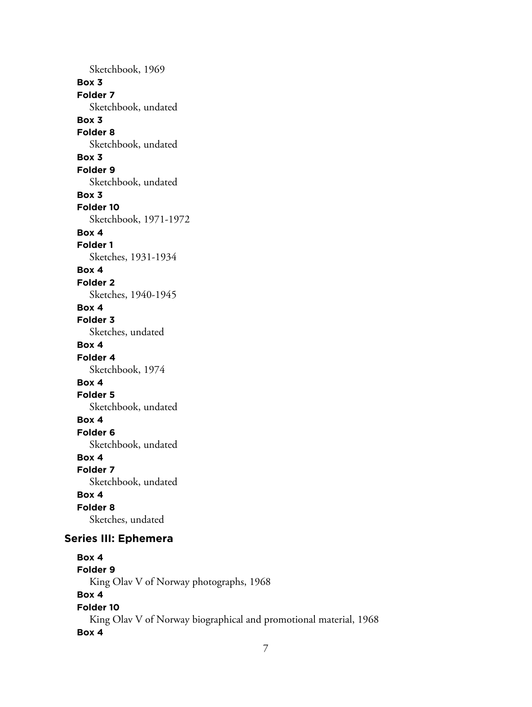Sketchbook, 1969 **Box 3 Folder 7** Sketchbook, undated **Box 3 Folder 8** Sketchbook, undated **Box 3 Folder 9** Sketchbook, undated **Box 3 Folder 10** Sketchbook, 1971-1972 **Box 4 Folder 1** Sketches, 1931-1934 **Box 4 Folder 2** Sketches, 1940-1945 **Box 4 Folder 3** Sketches, undated **Box 4 Folder 4** Sketchbook, 1974 **Box 4 Folder 5** Sketchbook, undated **Box 4 Folder 6** Sketchbook, undated **Box 4 Folder 7** Sketchbook, undated **Box 4 Folder 8** Sketches, undated **Series III: Ephemera Box 4**

**Folder 9** King Olav V of Norway photographs, 1968 **Box 4 Folder 10** King Olav V of Norway biographical and promotional material, 1968 **Box 4**